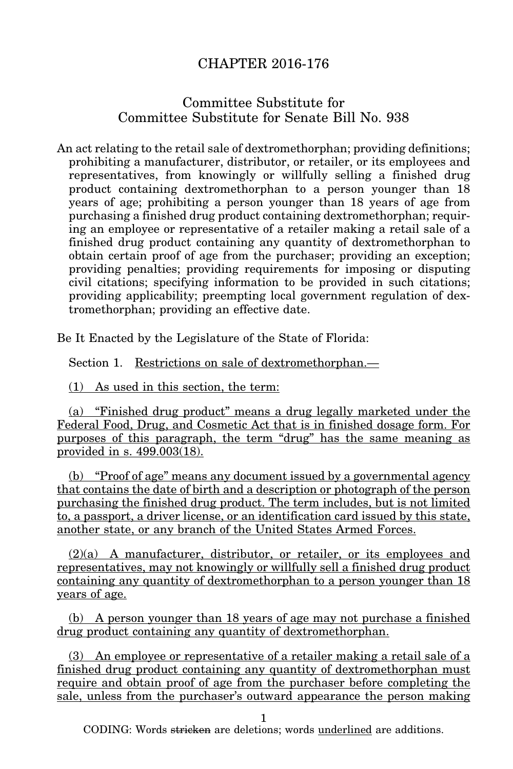## CHAPTER 2016-176

## Committee Substitute for Committee Substitute for Senate Bill No. 938

An act relating to the retail sale of dextromethorphan; providing definitions; prohibiting a manufacturer, distributor, or retailer, or its employees and representatives, from knowingly or willfully selling a finished drug product containing dextromethorphan to a person younger than 18 years of age; prohibiting a person younger than 18 years of age from purchasing a finished drug product containing dextromethorphan; requiring an employee or representative of a retailer making a retail sale of a finished drug product containing any quantity of dextromethorphan to obtain certain proof of age from the purchaser; providing an exception; providing penalties; providing requirements for imposing or disputing civil citations; specifying information to be provided in such citations; providing applicability; preempting local government regulation of dextromethorphan; providing an effective date.

Be It Enacted by the Legislature of the State of Florida:

Section 1. Restrictions on sale of dextromethorphan.—

(1) As used in this section, the term:

(a) "Finished drug product" means a drug legally marketed under the Federal Food, Drug, and Cosmetic Act that is in finished dosage form. For purposes of this paragraph, the term "drug" has the same meaning as provided in s. 499.003(18).

(b) "Proof of age" means any document issued by a governmental agency that contains the date of birth and a description or photograph of the person purchasing the finished drug product. The term includes, but is not limited to, a passport, a driver license, or an identification card issued by this state, another state, or any branch of the United States Armed Forces.

(2)(a) A manufacturer, distributor, or retailer, or its employees and representatives, may not knowingly or willfully sell a finished drug product containing any quantity of dextromethorphan to a person younger than 18 years of age.

(b) A person younger than 18 years of age may not purchase a finished drug product containing any quantity of dextromethorphan.

(3) An employee or representative of a retailer making a retail sale of a finished drug product containing any quantity of dextromethorphan must require and obtain proof of age from the purchaser before completing the sale, unless from the purchaser's outward appearance the person making

1

CODING: Words stricken are deletions; words underlined are additions.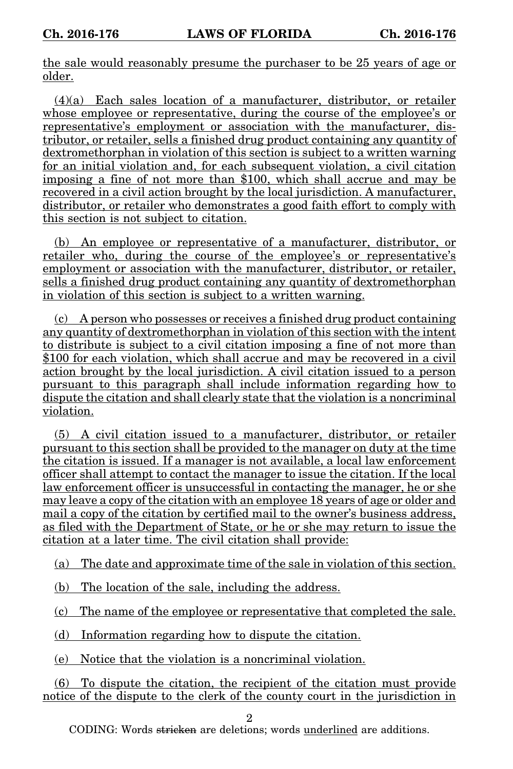the sale would reasonably presume the purchaser to be 25 years of age or older.

(4)(a) Each sales location of a manufacturer, distributor, or retailer whose employee or representative, during the course of the employee's or representative's employment or association with the manufacturer, distributor, or retailer, sells a finished drug product containing any quantity of dextromethorphan in violation of this section is subject to a written warning for an initial violation and, for each subsequent violation, a civil citation imposing a fine of not more than \$100, which shall accrue and may be recovered in a civil action brought by the local jurisdiction. A manufacturer, distributor, or retailer who demonstrates a good faith effort to comply with this section is not subject to citation.

(b) An employee or representative of a manufacturer, distributor, or retailer who, during the course of the employee's or representative's employment or association with the manufacturer, distributor, or retailer, sells a finished drug product containing any quantity of dextromethorphan in violation of this section is subject to a written warning.

(c) A person who possesses or receives a finished drug product containing any quantity of dextromethorphan in violation of this section with the intent to distribute is subject to a civil citation imposing a fine of not more than \$100 for each violation, which shall accrue and may be recovered in a civil action brought by the local jurisdiction. A civil citation issued to a person pursuant to this paragraph shall include information regarding how to dispute the citation and shall clearly state that the violation is a noncriminal violation.

(5) A civil citation issued to a manufacturer, distributor, or retailer pursuant to this section shall be provided to the manager on duty at the time the citation is issued. If a manager is not available, a local law enforcement officer shall attempt to contact the manager to issue the citation. If the local law enforcement officer is unsuccessful in contacting the manager, he or she may leave a copy of the citation with an employee 18 years of age or older and mail a copy of the citation by certified mail to the owner's business address, as filed with the Department of State, or he or she may return to issue the citation at a later time. The civil citation shall provide:

(a) The date and approximate time of the sale in violation of this section.

(b) The location of the sale, including the address.

(c) The name of the employee or representative that completed the sale.

(d) Information regarding how to dispute the citation.

(e) Notice that the violation is a noncriminal violation.

(6) To dispute the citation, the recipient of the citation must provide notice of the dispute to the clerk of the county court in the jurisdiction in

 $\overline{2}$ 

CODING: Words stricken are deletions; words underlined are additions.